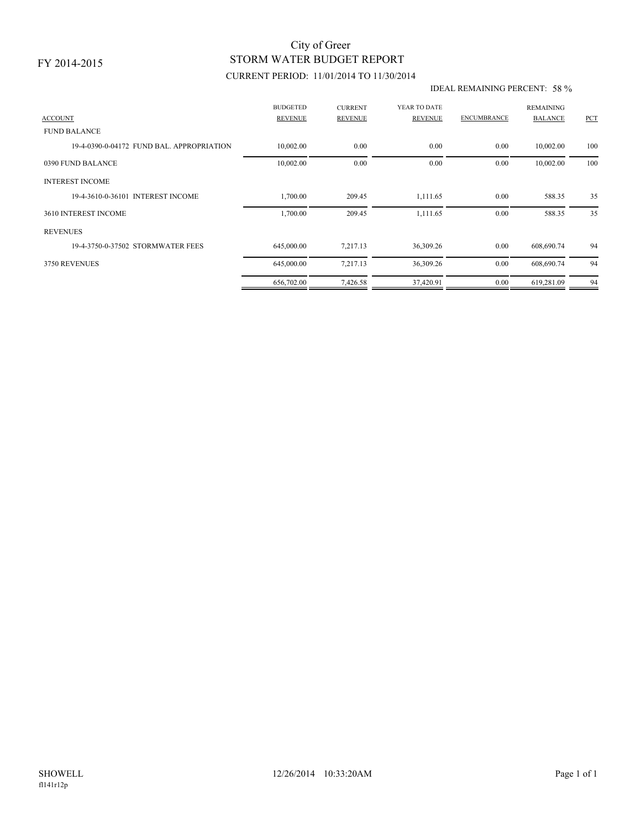## STORM WATER BUDGET REPORT City of Greer

### CURRENT PERIOD: 11/01/2014 TO 11/30/2014

#### IDEAL REMAINING PERCENT: 58 %

| <b>ACCOUNT</b>                            | <b>BUDGETED</b><br><b>REVENUE</b> | <b>CURRENT</b><br><b>REVENUE</b> | YEAR TO DATE<br>REVENUE | <b>ENCUMBRANCE</b> | <b>REMAINING</b><br><b>BALANCE</b> | PCT |
|-------------------------------------------|-----------------------------------|----------------------------------|-------------------------|--------------------|------------------------------------|-----|
| <b>FUND BALANCE</b>                       |                                   |                                  |                         |                    |                                    |     |
| 19-4-0390-0-04172 FUND BAL, APPROPRIATION | 10,002.00                         | 0.00                             | 0.00                    | 0.00               | 10,002.00                          | 100 |
| 0390 FUND BALANCE                         | 10,002.00                         | 0.00                             | 0.00                    | 0.00               | 10,002.00                          | 100 |
| <b>INTEREST INCOME</b>                    |                                   |                                  |                         |                    |                                    |     |
| 19-4-3610-0-36101 INTEREST INCOME         | 1,700.00                          | 209.45                           | 1,111.65                | 0.00               | 588.35                             | 35  |
| 3610 INTEREST INCOME                      | 1,700.00                          | 209.45                           | 1,111.65                | 0.00               | 588.35                             | 35  |
| <b>REVENUES</b>                           |                                   |                                  |                         |                    |                                    |     |
| 19-4-3750-0-37502 STORMWATER FEES         | 645,000.00                        | 7,217.13                         | 36,309.26               | 0.00               | 608,690.74                         | 94  |
| 3750 REVENUES                             | 645,000.00                        | 7,217.13                         | 36,309.26               | 0.00               | 608,690.74                         | 94  |
|                                           | 656,702.00                        | 7,426.58                         | 37,420.91               | 0.00               | 619,281.09                         | 94  |